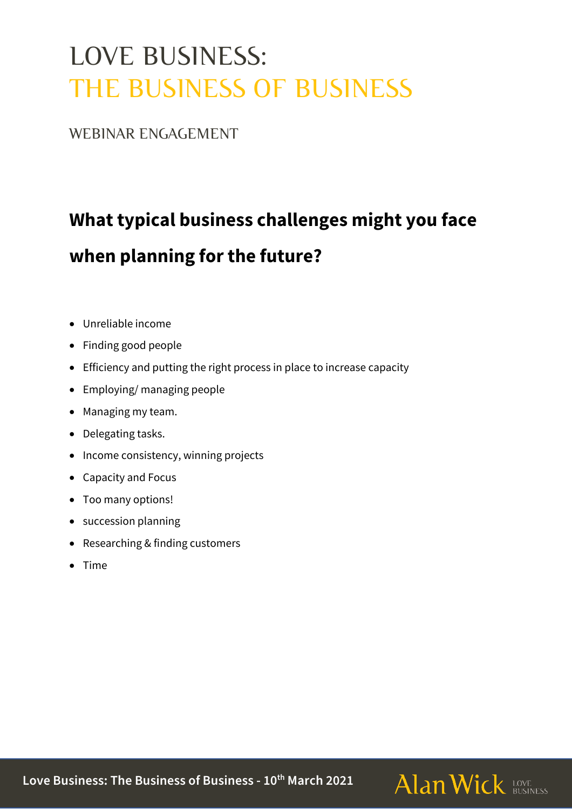# LOVE BUSINESS: THE BUSINESS OF BUSINESS

WEBINAR ENGAGEMENT

# **What typical business challenges might you face when planning for the future?**

- Unreliable income
- Finding good people
- Efficiency and putting the right process in place to increase capacity
- Employing/ managing people
- Managing my team.
- Delegating tasks.
- Income consistency, winning projects
- Capacity and Focus
- Too many options!
- succession planning
- Researching & finding customers
- Time

**Love Business: The Business of Business - 10th March 2021**

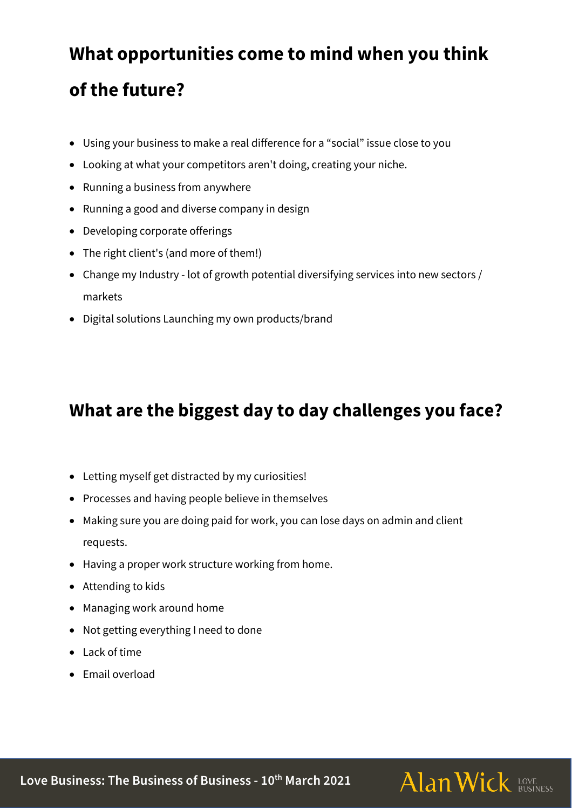### **What opportunities come to mind when you think**

#### **of the future?**

- Using your business to make a real difference for a "social" issue close to you
- Looking at what your competitors aren't doing, creating your niche.
- Running a business from anywhere
- Running a good and diverse company in design
- Developing corporate offerings
- The right client's (and more of them!)
- Change my Industry lot of growth potential diversifying services into new sectors / markets
- Digital solutions Launching my own products/brand

#### **What are the biggest day to day challenges you face?**

- Letting myself get distracted by my curiosities!
- Processes and having people believe in themselves
- Making sure you are doing paid for work, you can lose days on admin and client requests.
- Having a proper work structure working from home.
- Attending to kids
- Managing work around home
- Not getting everything I need to done
- Lack of time
- Email overload

**Love Business: The Business of Business - 10th March 2021**